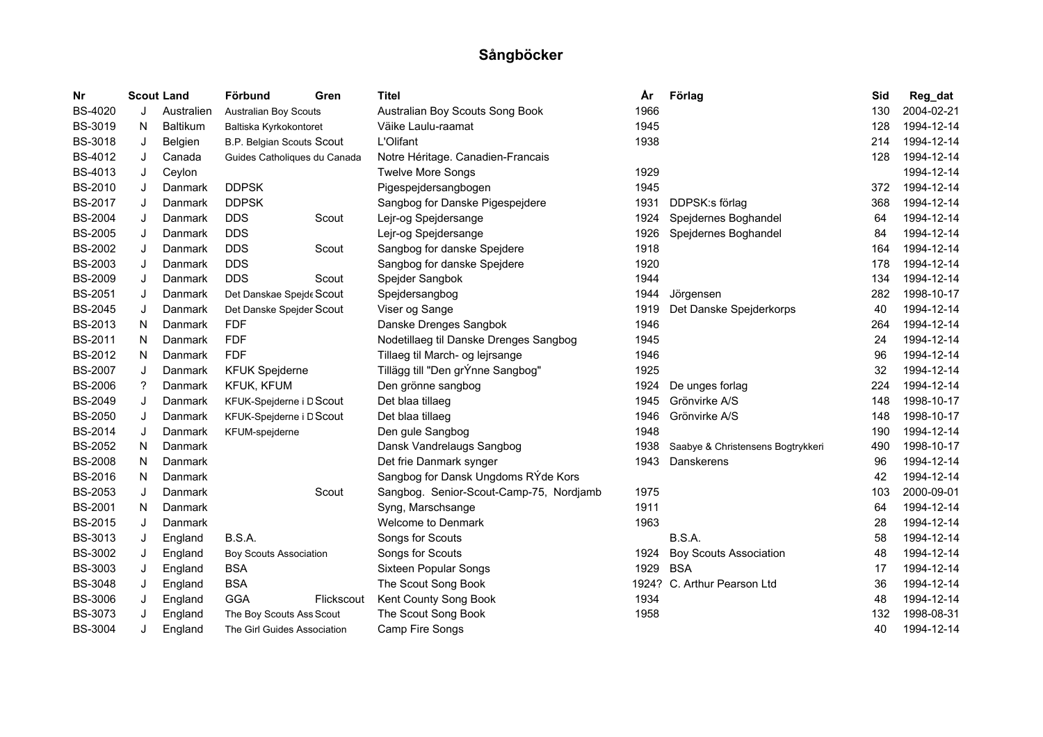| Nr             |    | <b>Scout Land</b> | Förbund                          | Gren       | <b>Titel</b>                            | År   | Förlag                            | Sid | Reg_dat    |
|----------------|----|-------------------|----------------------------------|------------|-----------------------------------------|------|-----------------------------------|-----|------------|
| <b>BS-4020</b> | J  | Australien        | Australian Boy Scouts            |            | Australian Boy Scouts Song Book         | 1966 |                                   | 130 | 2004-02-21 |
| <b>BS-3019</b> | N  | <b>Baltikum</b>   | Baltiska Kyrkokontoret           |            | Väike Laulu-raamat                      | 1945 |                                   | 128 | 1994-12-14 |
| <b>BS-3018</b> | J  | Belgien           | <b>B.P. Belgian Scouts Scout</b> |            | L'Olifant                               | 1938 |                                   | 214 | 1994-12-14 |
| BS-4012        | J  | Canada            | Guides Catholiques du Canada     |            | Notre Héritage. Canadien-Francais       |      |                                   | 128 | 1994-12-14 |
| BS-4013        | J  | Ceylon            |                                  |            | <b>Twelve More Songs</b>                | 1929 |                                   |     | 1994-12-14 |
| <b>BS-2010</b> | J  | Danmark           | <b>DDPSK</b>                     |            | Pigespejdersangbogen                    | 1945 |                                   | 372 | 1994-12-14 |
| <b>BS-2017</b> | J  | Danmark           | <b>DDPSK</b>                     |            | Sangbog for Danske Pigespejdere         | 1931 | DDPSK:s förlag                    | 368 | 1994-12-14 |
| <b>BS-2004</b> | J  | Danmark           | <b>DDS</b>                       | Scout      | Lejr-og Spejdersange                    | 1924 | Spejdernes Boghandel              | 64  | 1994-12-14 |
| <b>BS-2005</b> | J  | Danmark           | <b>DDS</b>                       |            | Lejr-og Spejdersange                    | 1926 | Spejdernes Boghandel              | 84  | 1994-12-14 |
| <b>BS-2002</b> | J  | Danmark           | <b>DDS</b>                       | Scout      | Sangbog for danske Spejdere             | 1918 |                                   | 164 | 1994-12-14 |
| <b>BS-2003</b> | J  | Danmark           | <b>DDS</b>                       |            | Sangbog for danske Spejdere             | 1920 |                                   | 178 | 1994-12-14 |
| <b>BS-2009</b> | J  | Danmark           | <b>DDS</b>                       | Scout      | Spejder Sangbok                         | 1944 |                                   | 134 | 1994-12-14 |
| <b>BS-2051</b> | J  | Danmark           | Det Danskae Spejde Scout         |            | Spejdersangbog                          | 1944 | Jörgensen                         | 282 | 1998-10-17 |
| <b>BS-2045</b> | J  | Danmark           | Det Danske Spejder Scout         |            | Viser og Sange                          | 1919 | Det Danske Spejderkorps           | 40  | 1994-12-14 |
| <b>BS-2013</b> | N  | Danmark           | <b>FDF</b>                       |            | Danske Drenges Sangbok                  | 1946 |                                   | 264 | 1994-12-14 |
| <b>BS-2011</b> | N  | Danmark           | <b>FDF</b>                       |            | Nodetillaeg til Danske Drenges Sangbog  | 1945 |                                   | 24  | 1994-12-14 |
| <b>BS-2012</b> | N  | Danmark           | <b>FDF</b>                       |            | Tillaeg til March- og lejrsange         | 1946 |                                   | 96  | 1994-12-14 |
| <b>BS-2007</b> | J  | Danmark           | <b>KFUK Spejderne</b>            |            | Tillägg till "Den grÝnne Sangbog"       | 1925 |                                   | 32  | 1994-12-14 |
| <b>BS-2006</b> | ?  | Danmark           | KFUK, KFUM                       |            | Den grönne sangbog                      | 1924 | De unges forlag                   | 224 | 1994-12-14 |
| <b>BS-2049</b> | J  | Danmark           | KFUK-Spejderne i D Scout         |            | Det blaa tillaeg                        | 1945 | Grönvirke A/S                     | 148 | 1998-10-17 |
| <b>BS-2050</b> | J  | Danmark           | KFUK-Spejderne i D Scout         |            | Det blaa tillaeg                        | 1946 | Grönvirke A/S                     | 148 | 1998-10-17 |
| <b>BS-2014</b> | J  | Danmark           | KFUM-spejderne                   |            | Den gule Sangbog                        | 1948 |                                   | 190 | 1994-12-14 |
| <b>BS-2052</b> | N. | Danmark           |                                  |            | Dansk Vandrelaugs Sangbog               | 1938 | Saabye & Christensens Bogtrykkeri | 490 | 1998-10-17 |
| <b>BS-2008</b> | N  | Danmark           |                                  |            | Det frie Danmark synger                 | 1943 | Danskerens                        | 96  | 1994-12-14 |
| <b>BS-2016</b> | N  | Danmark           |                                  |            | Sangbog for Dansk Ungdoms RYde Kors     |      |                                   | 42  | 1994-12-14 |
| <b>BS-2053</b> | J  | Danmark           |                                  | Scout      | Sangbog. Senior-Scout-Camp-75, Nordjamb | 1975 |                                   | 103 | 2000-09-01 |
| <b>BS-2001</b> | N  | Danmark           |                                  |            | Syng, Marschsange                       | 1911 |                                   | 64  | 1994-12-14 |
| <b>BS-2015</b> | J  | Danmark           |                                  |            | Welcome to Denmark                      | 1963 |                                   | 28  | 1994-12-14 |
| BS-3013        | J  | England           | B.S.A.                           |            | Songs for Scouts                        |      | B.S.A.                            | 58  | 1994-12-14 |
| <b>BS-3002</b> | J  | England           | <b>Boy Scouts Association</b>    |            | Songs for Scouts                        | 1924 | <b>Boy Scouts Association</b>     | 48  | 1994-12-14 |
| <b>BS-3003</b> | J  | England           | <b>BSA</b>                       |            | <b>Sixteen Popular Songs</b>            | 1929 | <b>BSA</b>                        | 17  | 1994-12-14 |
| <b>BS-3048</b> | J  | England           | <b>BSA</b>                       |            | The Scout Song Book                     |      | 1924? C. Arthur Pearson Ltd       | 36  | 1994-12-14 |
| <b>BS-3006</b> | J  | England           | <b>GGA</b>                       | Flickscout | Kent County Song Book                   | 1934 |                                   | 48  | 1994-12-14 |
| <b>BS-3073</b> |    | England           | The Boy Scouts Ass Scout         |            | The Scout Song Book                     | 1958 |                                   | 132 | 1998-08-31 |
| <b>BS-3004</b> | J  | England           | The Girl Guides Association      |            | Camp Fire Songs                         |      |                                   | 40  | 1994-12-14 |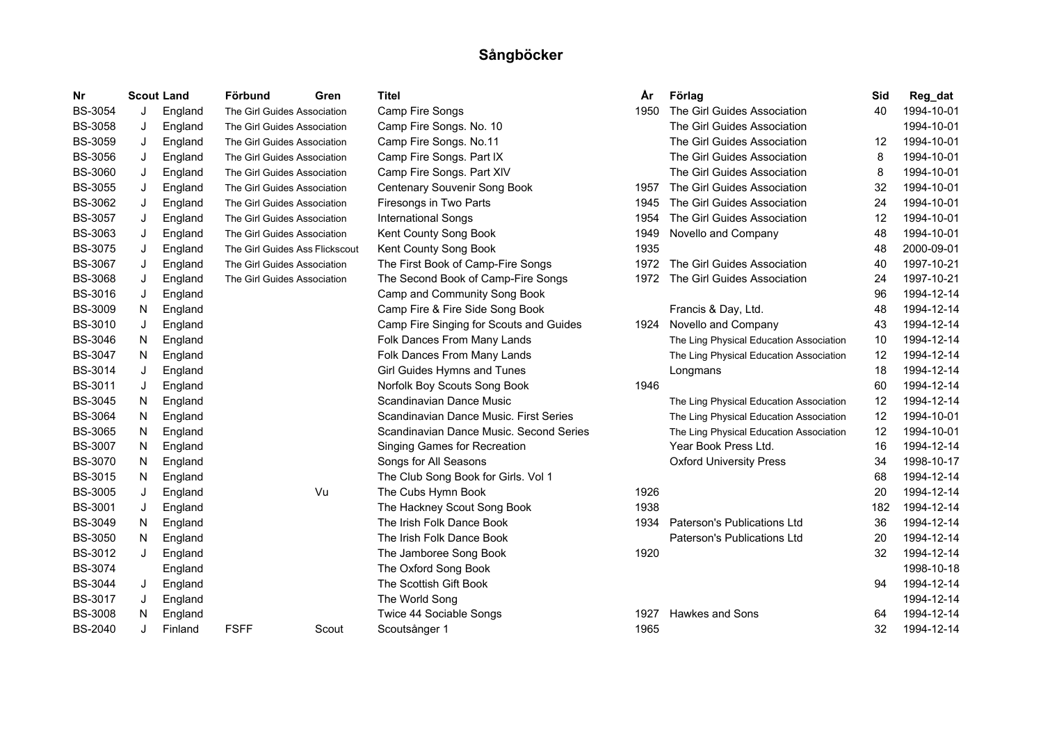| Nr             |    | <b>Scout Land</b> | Förbund                        | Gren  | <b>Titel</b>                            | Αr   | Förlag                                  | Sid | Reg_dat    |
|----------------|----|-------------------|--------------------------------|-------|-----------------------------------------|------|-----------------------------------------|-----|------------|
| <b>BS-3054</b> | J  | England           | The Girl Guides Association    |       | Camp Fire Songs                         | 1950 | The Girl Guides Association             | 40  | 1994-10-01 |
| <b>BS-3058</b> | J  | England           | The Girl Guides Association    |       | Camp Fire Songs. No. 10                 |      | The Girl Guides Association             |     | 1994-10-01 |
| <b>BS-3059</b> | J  | England           | The Girl Guides Association    |       | Camp Fire Songs. No.11                  |      | The Girl Guides Association             | 12  | 1994-10-01 |
| <b>BS-3056</b> | J  | England           | The Girl Guides Association    |       | Camp Fire Songs. Part IX                |      | The Girl Guides Association             | 8   | 1994-10-01 |
| <b>BS-3060</b> | J  | England           | The Girl Guides Association    |       | Camp Fire Songs. Part XIV               |      | The Girl Guides Association             | 8   | 1994-10-01 |
| <b>BS-3055</b> | J  | England           | The Girl Guides Association    |       | Centenary Souvenir Song Book            | 1957 | The Girl Guides Association             | 32  | 1994-10-01 |
| <b>BS-3062</b> | J  | England           | The Girl Guides Association    |       | Firesongs in Two Parts                  | 1945 | The Girl Guides Association             | 24  | 1994-10-01 |
| <b>BS-3057</b> | J  | England           | The Girl Guides Association    |       | <b>International Songs</b>              | 1954 | The Girl Guides Association             | 12  | 1994-10-01 |
| <b>BS-3063</b> | J  | England           | The Girl Guides Association    |       | Kent County Song Book                   | 1949 | Novello and Company                     | 48  | 1994-10-01 |
| <b>BS-3075</b> | J  | England           | The Girl Guides Ass Flickscout |       | Kent County Song Book                   | 1935 |                                         | 48  | 2000-09-01 |
| <b>BS-3067</b> | J  | England           | The Girl Guides Association    |       | The First Book of Camp-Fire Songs       | 1972 | The Girl Guides Association             | 40  | 1997-10-21 |
| <b>BS-3068</b> | J  | England           | The Girl Guides Association    |       | The Second Book of Camp-Fire Songs      | 1972 | The Girl Guides Association             | 24  | 1997-10-21 |
| BS-3016        | J  | England           |                                |       | Camp and Community Song Book            |      |                                         | 96  | 1994-12-14 |
| <b>BS-3009</b> | N. | England           |                                |       | Camp Fire & Fire Side Song Book         |      | Francis & Day, Ltd.                     | 48  | 1994-12-14 |
| <b>BS-3010</b> | J  | England           |                                |       | Camp Fire Singing for Scouts and Guides | 1924 | Novello and Company                     | 43  | 1994-12-14 |
| <b>BS-3046</b> | N. | England           |                                |       | Folk Dances From Many Lands             |      | The Ling Physical Education Association | 10  | 1994-12-14 |
| <b>BS-3047</b> | N. | England           |                                |       | Folk Dances From Many Lands             |      | The Ling Physical Education Association | 12  | 1994-12-14 |
| <b>BS-3014</b> | J  | England           |                                |       | Girl Guides Hymns and Tunes             |      | Longmans                                | 18  | 1994-12-14 |
| BS-3011        | J  | England           |                                |       | Norfolk Boy Scouts Song Book            | 1946 |                                         | 60  | 1994-12-14 |
| <b>BS-3045</b> | N. | England           |                                |       | Scandinavian Dance Music                |      | The Ling Physical Education Association | 12  | 1994-12-14 |
| <b>BS-3064</b> | N. | England           |                                |       | Scandinavian Dance Music. First Series  |      | The Ling Physical Education Association | 12  | 1994-10-01 |
| <b>BS-3065</b> | N. | England           |                                |       | Scandinavian Dance Music. Second Series |      | The Ling Physical Education Association | 12  | 1994-10-01 |
| <b>BS-3007</b> | N. | England           |                                |       | Singing Games for Recreation            |      | Year Book Press Ltd.                    | 16  | 1994-12-14 |
| <b>BS-3070</b> | N. | England           |                                |       | Songs for All Seasons                   |      | <b>Oxford University Press</b>          | 34  | 1998-10-17 |
| <b>BS-3015</b> | N. | England           |                                |       | The Club Song Book for Girls. Vol 1     |      |                                         | 68  | 1994-12-14 |
| <b>BS-3005</b> | J  | England           |                                | Vu    | The Cubs Hymn Book                      | 1926 |                                         | 20  | 1994-12-14 |
| <b>BS-3001</b> | J  | England           |                                |       | The Hackney Scout Song Book             | 1938 |                                         | 182 | 1994-12-14 |
| <b>BS-3049</b> | N. | England           |                                |       | The Irish Folk Dance Book               | 1934 | Paterson's Publications Ltd             | 36  | 1994-12-14 |
| <b>BS-3050</b> | N. | England           |                                |       | The Irish Folk Dance Book               |      | Paterson's Publications Ltd             | 20  | 1994-12-14 |
| BS-3012        | J  | England           |                                |       | The Jamboree Song Book                  | 1920 |                                         | 32  | 1994-12-14 |
| <b>BS-3074</b> |    | England           |                                |       | The Oxford Song Book                    |      |                                         |     | 1998-10-18 |
| <b>BS-3044</b> | J  | England           |                                |       | The Scottish Gift Book                  |      |                                         | 94  | 1994-12-14 |
| <b>BS-3017</b> | J  | England           |                                |       | The World Song                          |      |                                         |     | 1994-12-14 |
| <b>BS-3008</b> | N  | England           |                                |       | Twice 44 Sociable Songs                 | 1927 | <b>Hawkes and Sons</b>                  | 64  | 1994-12-14 |
| <b>BS-2040</b> | J  | Finland           | <b>FSFF</b>                    | Scout | Scoutsånger 1                           | 1965 |                                         | 32  | 1994-12-14 |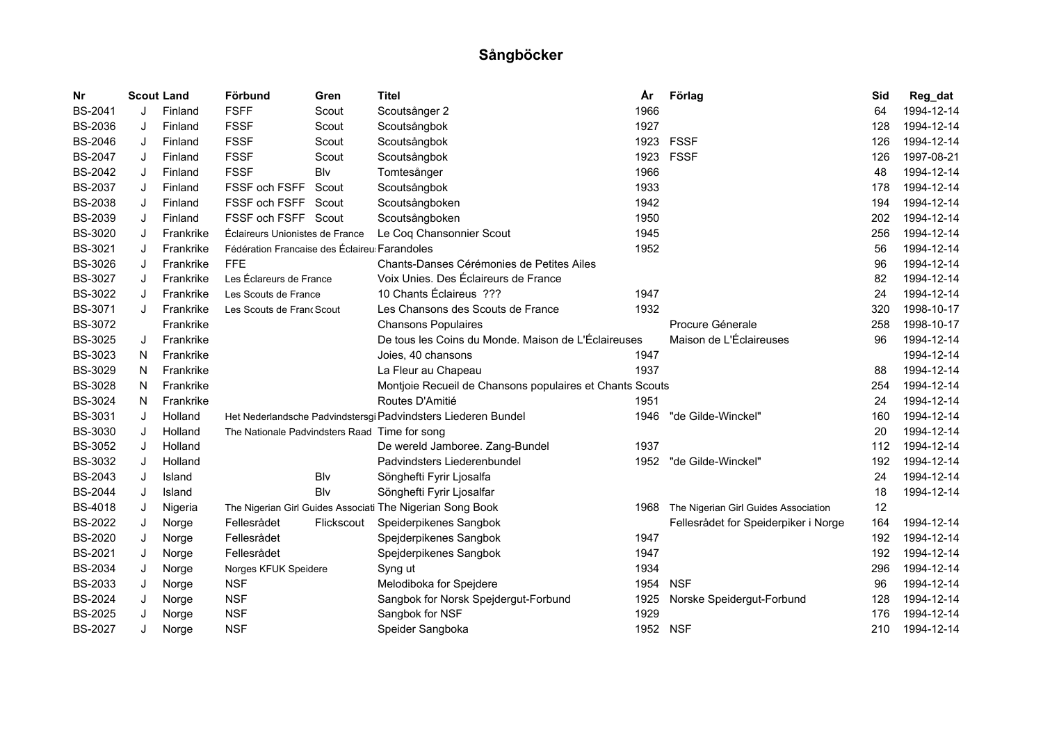| Nr             | <b>Scout Land</b> |           | Förbund                                       | Gren       | <b>Titel</b>                                                  | År   | Förlag                                    | Sid | Reg_dat    |
|----------------|-------------------|-----------|-----------------------------------------------|------------|---------------------------------------------------------------|------|-------------------------------------------|-----|------------|
| <b>BS-2041</b> | J                 | Finland   | <b>FSFF</b>                                   | Scout      | Scoutsånger 2                                                 | 1966 |                                           | 64  | 1994-12-14 |
| <b>BS-2036</b> | J                 | Finland   | <b>FSSF</b>                                   | Scout      | Scoutsångbok                                                  | 1927 |                                           | 128 | 1994-12-14 |
| <b>BS-2046</b> | J                 | Finland   | <b>FSSF</b>                                   | Scout      | Scoutsångbok                                                  | 1923 | <b>FSSF</b>                               | 126 | 1994-12-14 |
| <b>BS-2047</b> | J                 | Finland   | <b>FSSF</b>                                   | Scout      | Scoutsångbok                                                  |      | 1923 FSSF                                 | 126 | 1997-08-21 |
| <b>BS-2042</b> | J                 | Finland   | <b>FSSF</b>                                   | Blv        | Tomtesånger                                                   | 1966 |                                           | 48  | 1994-12-14 |
| <b>BS-2037</b> | J                 | Finland   | FSSF och FSFF                                 | Scout      | Scoutsångbok                                                  | 1933 |                                           | 178 | 1994-12-14 |
| <b>BS-2038</b> | J                 | Finland   | FSSF och FSFF                                 | Scout      | Scoutsångboken                                                | 1942 |                                           | 194 | 1994-12-14 |
| <b>BS-2039</b> | J                 | Finland   | FSSF och FSFF Scout                           |            | Scoutsångboken                                                | 1950 |                                           | 202 | 1994-12-14 |
| <b>BS-3020</b> | J                 | Frankrike | Éclaireurs Unionistes de France               |            | Le Coq Chansonnier Scout                                      | 1945 |                                           | 256 | 1994-12-14 |
| BS-3021        | J                 | Frankrike | Fédération Francaise des Éclaireu Farandoles  |            |                                                               | 1952 |                                           | 56  | 1994-12-14 |
| <b>BS-3026</b> | J                 | Frankrike | <b>FFE</b>                                    |            | Chants-Danses Cérémonies de Petites Ailes                     |      |                                           | 96  | 1994-12-14 |
| <b>BS-3027</b> | J                 | Frankrike | Les Éclareurs de France                       |            | Voix Unies. Des Éclaireurs de France                          |      |                                           | 82  | 1994-12-14 |
| <b>BS-3022</b> | J                 | Frankrike | Les Scouts de France                          |            | 10 Chants Éclaireus ???                                       | 1947 |                                           | 24  | 1994-12-14 |
| <b>BS-3071</b> | J                 | Frankrike | Les Scouts de Franc Scout                     |            | Les Chansons des Scouts de France                             | 1932 |                                           | 320 | 1998-10-17 |
| <b>BS-3072</b> |                   | Frankrike |                                               |            | <b>Chansons Populaires</b>                                    |      | Procure Génerale                          | 258 | 1998-10-17 |
| <b>BS-3025</b> | J                 | Frankrike |                                               |            | De tous les Coins du Monde. Maison de L'Éclaireuses           |      | Maison de L'Éclaireuses                   | 96  | 1994-12-14 |
| BS-3023        | N.                | Frankrike |                                               |            | Joies, 40 chansons                                            | 1947 |                                           |     | 1994-12-14 |
| <b>BS-3029</b> | N                 | Frankrike |                                               |            | La Fleur au Chapeau                                           | 1937 |                                           | 88  | 1994-12-14 |
| <b>BS-3028</b> | N.                | Frankrike |                                               |            | Montjoie Recueil de Chansons populaires et Chants Scouts      |      |                                           | 254 | 1994-12-14 |
| <b>BS-3024</b> | N                 | Frankrike |                                               |            | Routes D'Amitié                                               | 1951 |                                           | 24  | 1994-12-14 |
| <b>BS-3031</b> | J                 | Holland   |                                               |            | Het Nederlandsche Padvindstersgi Padvindsters Liederen Bundel | 1946 | "de Gilde-Winckel"                        | 160 | 1994-12-14 |
| BS-3030        | J                 | Holland   | The Nationale Padvindsters Raad Time for song |            |                                                               |      |                                           | 20  | 1994-12-14 |
| <b>BS-3052</b> | J                 | Holland   |                                               |            | De wereld Jamboree. Zang-Bundel                               | 1937 |                                           | 112 | 1994-12-14 |
| <b>BS-3032</b> | J                 | Holland   |                                               |            | Padvindsters Liederenbundel                                   | 1952 | "de Gilde-Winckel"                        | 192 | 1994-12-14 |
| <b>BS-2043</b> | J                 | Island    |                                               | Blv        | Sönghefti Fyrir Ljosalfa                                      |      |                                           | 24  | 1994-12-14 |
| <b>BS-2044</b> | J                 | Island    |                                               | Blv        | Sönghefti Fyrir Ljosalfar                                     |      |                                           | 18  | 1994-12-14 |
| <b>BS-4018</b> | J                 | Nigeria   |                                               |            | The Nigerian Girl Guides Associati The Nigerian Song Book     |      | 1968 The Nigerian Girl Guides Association | 12  |            |
| <b>BS-2022</b> | J                 | Norge     | Fellesrådet                                   | Flickscout | Speiderpikenes Sangbok                                        |      | Fellesrådet for Speiderpiker i Norge      | 164 | 1994-12-14 |
| <b>BS-2020</b> | J                 | Norge     | Fellesrådet                                   |            | Spejderpikenes Sangbok                                        | 1947 |                                           | 192 | 1994-12-14 |
| <b>BS-2021</b> | J                 | Norge     | Fellesrådet                                   |            | Spejderpikenes Sangbok                                        | 1947 |                                           | 192 | 1994-12-14 |
| <b>BS-2034</b> | J                 | Norge     | Norges KFUK Speidere                          |            | Syng ut                                                       | 1934 |                                           | 296 | 1994-12-14 |
| <b>BS-2033</b> | J                 | Norge     | <b>NSF</b>                                    |            | Melodiboka for Spejdere                                       | 1954 | <b>NSF</b>                                | 96  | 1994-12-14 |
| <b>BS-2024</b> | J                 | Norge     | <b>NSF</b>                                    |            | Sangbok for Norsk Spejdergut-Forbund                          | 1925 | Norske Speidergut-Forbund                 | 128 | 1994-12-14 |
| <b>BS-2025</b> | J                 | Norge     | <b>NSF</b>                                    |            | Sangbok for NSF                                               | 1929 |                                           | 176 | 1994-12-14 |
| <b>BS-2027</b> | J                 | Norge     | <b>NSF</b>                                    |            | Speider Sangboka                                              | 1952 | <b>NSF</b>                                | 210 | 1994-12-14 |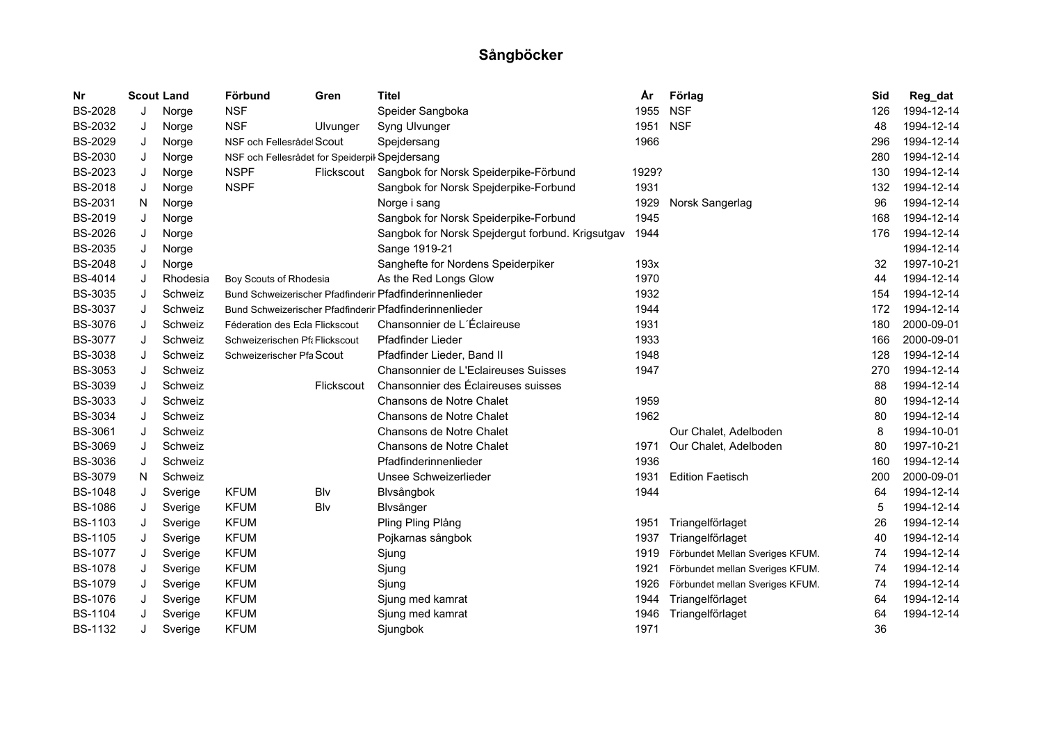| Nr             | <b>Scout Land</b> |          | Förbund                                        | Gren       | <b>Titel</b>                                            | År    | Förlag                          | Sid | Reg_dat    |
|----------------|-------------------|----------|------------------------------------------------|------------|---------------------------------------------------------|-------|---------------------------------|-----|------------|
| <b>BS-2028</b> | J                 | Norge    | <b>NSF</b>                                     |            | Speider Sangboka                                        | 1955  | <b>NSF</b>                      | 126 | 1994-12-14 |
| <b>BS-2032</b> | J                 | Norge    | <b>NSF</b>                                     | Ulvunger   | Syng Ulvunger                                           | 1951  | <b>NSF</b>                      | 48  | 1994-12-14 |
| <b>BS-2029</b> | J                 | Norge    | NSF och Fellesråde Scout                       |            | Spejdersang                                             | 1966  |                                 | 296 | 1994-12-14 |
| <b>BS-2030</b> | J                 | Norge    | NSF och Fellesrådet for Speiderpil Spejdersang |            |                                                         |       |                                 | 280 | 1994-12-14 |
| <b>BS-2023</b> | J                 | Norge    | <b>NSPF</b>                                    | Flickscout | Sangbok for Norsk Speiderpike-Förbund                   | 1929? |                                 | 130 | 1994-12-14 |
| <b>BS-2018</b> | J                 | Norge    | <b>NSPF</b>                                    |            | Sangbok for Norsk Spejderpike-Forbund                   | 1931  |                                 | 132 | 1994-12-14 |
| <b>BS-2031</b> | N                 | Norge    |                                                |            | Norge i sang                                            | 1929  | Norsk Sangerlag                 | 96  | 1994-12-14 |
| <b>BS-2019</b> | J                 | Norge    |                                                |            | Sangbok for Norsk Speiderpike-Forbund                   | 1945  |                                 | 168 | 1994-12-14 |
| <b>BS-2026</b> | J                 | Norge    |                                                |            | Sangbok for Norsk Spejdergut forbund. Krigsutgav        | 1944  |                                 | 176 | 1994-12-14 |
| <b>BS-2035</b> | J                 | Norge    |                                                |            | Sange 1919-21                                           |       |                                 |     | 1994-12-14 |
| <b>BS-2048</b> | J                 | Norge    |                                                |            | Sanghefte for Nordens Speiderpiker                      | 193x  |                                 | 32  | 1997-10-21 |
| <b>BS-4014</b> | J                 | Rhodesia | Boy Scouts of Rhodesia                         |            | As the Red Longs Glow                                   | 1970  |                                 | 44  | 1994-12-14 |
| <b>BS-3035</b> | J                 | Schweiz  |                                                |            | Bund Schweizerischer Pfadfinderir Pfadfinderinnenlieder | 1932  |                                 | 154 | 1994-12-14 |
| <b>BS-3037</b> | J                 | Schweiz  |                                                |            | Bund Schweizerischer Pfadfinderir Pfadfinderinnenlieder | 1944  |                                 | 172 | 1994-12-14 |
| <b>BS-3076</b> | J                 | Schweiz  | Féderation des Ecla Flickscout                 |            | Chansonnier de L'Éclaireuse                             | 1931  |                                 | 180 | 2000-09-01 |
| <b>BS-3077</b> | J                 | Schweiz  | Schweizerischen Pf: Flickscout                 |            | Pfadfinder Lieder                                       | 1933  |                                 | 166 | 2000-09-01 |
| <b>BS-3038</b> | J                 | Schweiz  | Schweizerischer Pfa Scout                      |            | Pfadfinder Lieder, Band II                              | 1948  |                                 | 128 | 1994-12-14 |
| <b>BS-3053</b> | J                 | Schweiz  |                                                |            | Chansonnier de L'Eclaireuses Suisses                    | 1947  |                                 | 270 | 1994-12-14 |
| <b>BS-3039</b> | J                 | Schweiz  |                                                | Flickscout | Chansonnier des Éclaireuses suisses                     |       |                                 | 88  | 1994-12-14 |
| <b>BS-3033</b> | J                 | Schweiz  |                                                |            | Chansons de Notre Chalet                                | 1959  |                                 | 80  | 1994-12-14 |
| <b>BS-3034</b> | J                 | Schweiz  |                                                |            | Chansons de Notre Chalet                                | 1962  |                                 | 80  | 1994-12-14 |
| <b>BS-3061</b> | J                 | Schweiz  |                                                |            | Chansons de Notre Chalet                                |       | Our Chalet, Adelboden           | 8   | 1994-10-01 |
| <b>BS-3069</b> | J                 | Schweiz  |                                                |            | Chansons de Notre Chalet                                | 1971  | Our Chalet, Adelboden           | 80  | 1997-10-21 |
| <b>BS-3036</b> | J                 | Schweiz  |                                                |            | Pfadfinderinnenlieder                                   | 1936  |                                 | 160 | 1994-12-14 |
| <b>BS-3079</b> | N                 | Schweiz  |                                                |            | Unsee Schweizerlieder                                   | 1931  | <b>Edition Faetisch</b>         | 200 | 2000-09-01 |
| <b>BS-1048</b> | J                 | Sverige  | <b>KFUM</b>                                    | Blv        | Blvsångbok                                              | 1944  |                                 | 64  | 1994-12-14 |
| <b>BS-1086</b> | J                 | Sverige  | <b>KFUM</b>                                    | Blv        | Blvsånger                                               |       |                                 | 5   | 1994-12-14 |
| <b>BS-1103</b> | J                 | Sverige  | <b>KFUM</b>                                    |            | Pling Pling Plång                                       | 1951  | Triangelförlaget                | 26  | 1994-12-14 |
| <b>BS-1105</b> | J                 | Sverige  | <b>KFUM</b>                                    |            | Pojkarnas sångbok                                       | 1937  | Triangelförlaget                | 40  | 1994-12-14 |
| <b>BS-1077</b> | J                 | Sverige  | <b>KFUM</b>                                    |            | Sjung                                                   | 1919  | Förbundet Mellan Sveriges KFUM. | 74  | 1994-12-14 |
| <b>BS-1078</b> | J                 | Sverige  | <b>KFUM</b>                                    |            | Sjung                                                   | 1921  | Förbundet mellan Sveriges KFUM. | 74  | 1994-12-14 |
| <b>BS-1079</b> | J                 | Sverige  | <b>KFUM</b>                                    |            | Sjung                                                   | 1926  | Förbundet mellan Sveriges KFUM. | 74  | 1994-12-14 |
| <b>BS-1076</b> | J                 | Sverige  | <b>KFUM</b>                                    |            | Sjung med kamrat                                        | 1944  | Triangelförlaget                | 64  | 1994-12-14 |
| <b>BS-1104</b> | J                 | Sverige  | <b>KFUM</b>                                    |            | Sjung med kamrat                                        | 1946  | Triangelförlaget                | 64  | 1994-12-14 |
| <b>BS-1132</b> | J                 | Sverige  | <b>KFUM</b>                                    |            | Sjungbok                                                | 1971  |                                 | 36  |            |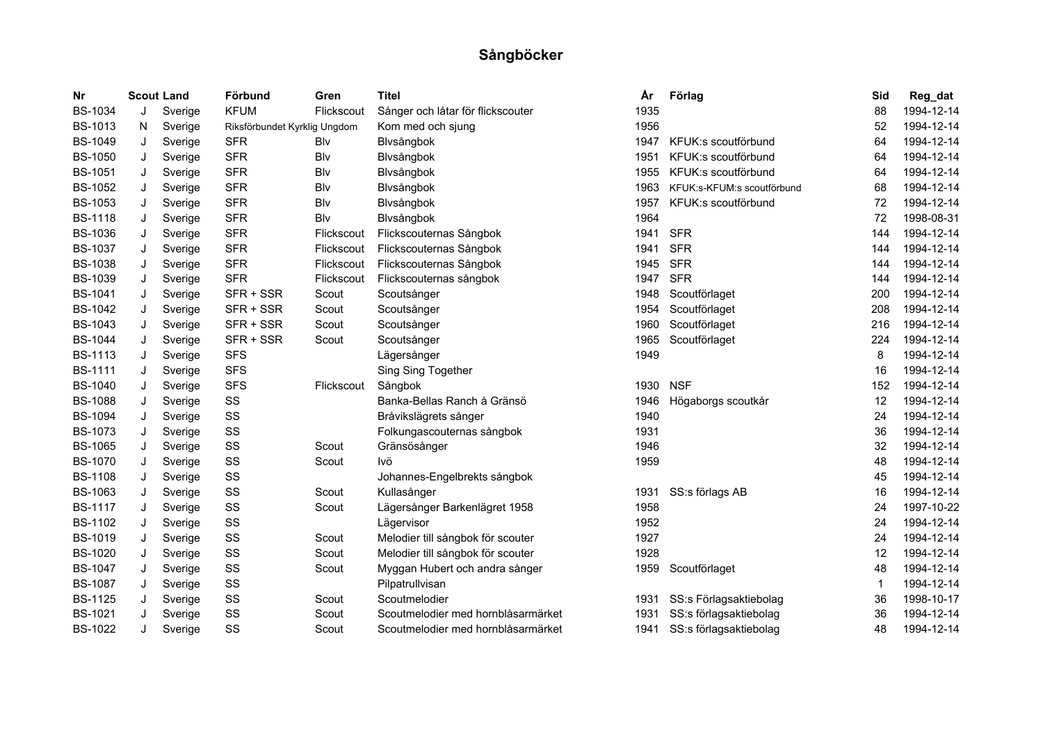| Nr             |   | <b>Scout Land</b> | Förbund                      | Gren       | <b>Titel</b>                       | År   | Förlag                     | Sid | Reg_dat    |
|----------------|---|-------------------|------------------------------|------------|------------------------------------|------|----------------------------|-----|------------|
| <b>BS-1034</b> | J | Sverige           | <b>KFUM</b>                  | Flickscout | Sånger och låtar för flickscouter  | 1935 |                            | 88  | 1994-12-14 |
| <b>BS-1013</b> | N | Sverige           | Riksförbundet Kyrklig Ungdom |            | Kom med och sjung                  | 1956 |                            | 52  | 1994-12-14 |
| <b>BS-1049</b> | J | Sverige           | <b>SFR</b>                   | Blv        | Blvsångbok                         | 1947 | KFUK:s scoutförbund        | 64  | 1994-12-14 |
| <b>BS-1050</b> | J | Sverige           | <b>SFR</b>                   | Blv        | Blvsångbok                         | 1951 | KFUK:s scoutförbund        | 64  | 1994-12-14 |
| <b>BS-1051</b> | J | Sverige           | <b>SFR</b>                   | Blv        | Blvsångbok                         | 1955 | KFUK:s scoutförbund        | 64  | 1994-12-14 |
| <b>BS-1052</b> | J | Sverige           | <b>SFR</b>                   | Blv        | Blvsångbok                         | 1963 | KFUK:s-KFUM:s scoutförbund | 68  | 1994-12-14 |
| <b>BS-1053</b> | J | Sverige           | <b>SFR</b>                   | Blv        | Blvsångbok                         | 1957 | KFUK:s scoutförbund        | 72  | 1994-12-14 |
| <b>BS-1118</b> | J | Sverige           | <b>SFR</b>                   | Blv        | Blvsångbok                         | 1964 |                            | 72  | 1998-08-31 |
| <b>BS-1036</b> | J | Sverige           | <b>SFR</b>                   | Flickscout | Flickscouternas Sångbok            | 1941 | <b>SFR</b>                 | 144 | 1994-12-14 |
| <b>BS-1037</b> | J | Sverige           | <b>SFR</b>                   | Flickscout | Flickscouternas Sångbok            | 1941 | <b>SFR</b>                 | 144 | 1994-12-14 |
| <b>BS-1038</b> | J | Sverige           | <b>SFR</b>                   | Flickscout | Flickscouternas Sångbok            | 1945 | <b>SFR</b>                 | 144 | 1994-12-14 |
| <b>BS-1039</b> | J | Sverige           | <b>SFR</b>                   | Flickscout | Flickscouternas sångbok            | 1947 | <b>SFR</b>                 | 144 | 1994-12-14 |
| <b>BS-1041</b> | J | Sverige           | SFR + SSR                    | Scout      | Scoutsånger                        | 1948 | Scoutförlaget              | 200 | 1994-12-14 |
| <b>BS-1042</b> | J | Sverige           | SFR + SSR                    | Scout      | Scoutsånger                        | 1954 | Scoutförlaget              | 208 | 1994-12-14 |
| <b>BS-1043</b> | J | Sverige           | SFR + SSR                    | Scout      | Scoutsånger                        | 1960 | Scoutförlaget              | 216 | 1994-12-14 |
| <b>BS-1044</b> | J | Sverige           | SFR + SSR                    | Scout      | Scoutsånger                        | 1965 | Scoutförlaget              | 224 | 1994-12-14 |
| <b>BS-1113</b> | J | Sverige           | <b>SFS</b>                   |            | Lägersånger                        | 1949 |                            | 8   | 1994-12-14 |
| <b>BS-1111</b> | J | Sverige           | <b>SFS</b>                   |            | Sing Sing Together                 |      |                            | 16  | 1994-12-14 |
| <b>BS-1040</b> | J | Sverige           | <b>SFS</b>                   | Flickscout | Sångbok                            | 1930 | <b>NSF</b>                 | 152 | 1994-12-14 |
| <b>BS-1088</b> | J | Sverige           | SS                           |            | Banka-Bellas Ranch å Gränsö        | 1946 | Högaborgs scoutkår         | 12  | 1994-12-14 |
| <b>BS-1094</b> | J | Sverige           | SS                           |            | Bråvikslägrets sånger              | 1940 |                            | 24  | 1994-12-14 |
| <b>BS-1073</b> | J | Sverige           | SS                           |            | Folkungascouternas sångbok         | 1931 |                            | 36  | 1994-12-14 |
| <b>BS-1065</b> | J | Sverige           | SS                           | Scout      | Gränsösånger                       | 1946 |                            | 32  | 1994-12-14 |
| <b>BS-1070</b> | J | Sverige           | SS                           | Scout      | lvö                                | 1959 |                            | 48  | 1994-12-14 |
| <b>BS-1108</b> | J | Sverige           | SS                           |            | Johannes-Engelbrekts sångbok       |      |                            | 45  | 1994-12-14 |
| <b>BS-1063</b> | J | Sverige           | SS                           | Scout      | Kullasånger                        | 1931 | SS:s förlags AB            | 16  | 1994-12-14 |
| <b>BS-1117</b> | J | Sverige           | SS                           | Scout      | Lägersånger Barkenlägret 1958      | 1958 |                            | 24  | 1997-10-22 |
| <b>BS-1102</b> | J | Sverige           | SS                           |            | Lägervisor                         | 1952 |                            | 24  | 1994-12-14 |
| <b>BS-1019</b> | J | Sverige           | SS                           | Scout      | Melodier till sångbok för scouter  | 1927 |                            | 24  | 1994-12-14 |
| <b>BS-1020</b> | J | Sverige           | SS                           | Scout      | Melodier till sångbok för scouter  | 1928 |                            | 12  | 1994-12-14 |
| <b>BS-1047</b> | J | Sverige           | SS                           | Scout      | Myggan Hubert och andra sånger     | 1959 | Scoutförlaget              | 48  | 1994-12-14 |
| <b>BS-1087</b> | J | Sverige           | SS                           |            | Pilpatrullvisan                    |      |                            | -1  | 1994-12-14 |
| <b>BS-1125</b> | J | Sverige           | SS                           | Scout      | Scoutmelodier                      | 1931 | SS:s Förlagsaktiebolag     | 36  | 1998-10-17 |
| <b>BS-1021</b> | J | Sverige           | SS                           | Scout      | Scoutmelodier med hornblåsarmärket | 1931 | SS:s förlagsaktiebolag     | 36  | 1994-12-14 |
| <b>BS-1022</b> | J | Sverige           | SS                           | Scout      | Scoutmelodier med hornblåsarmärket | 1941 | SS:s förlagsaktiebolag     | 48  | 1994-12-14 |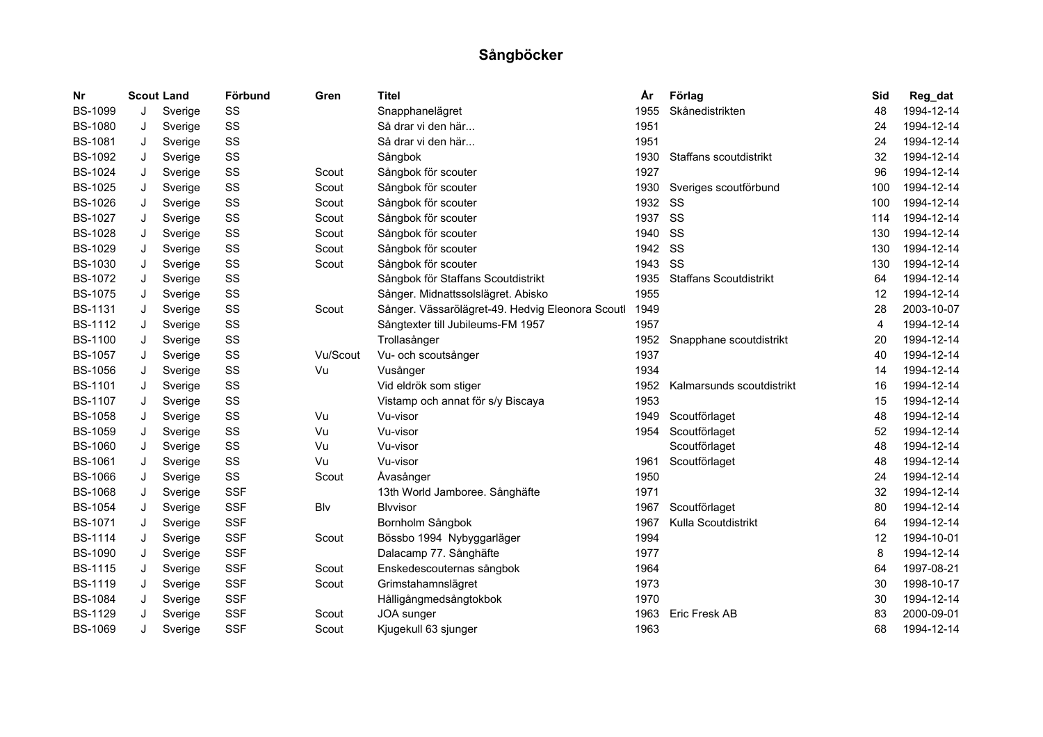| Nr             | <b>Scout Land</b> |         | Förbund    | Gren     | <b>Titel</b>                                     | År   | Förlag                        | Sid            | Reg_dat    |
|----------------|-------------------|---------|------------|----------|--------------------------------------------------|------|-------------------------------|----------------|------------|
| <b>BS-1099</b> | J                 | Sverige | SS         |          | Snapphanelägret                                  | 1955 | Skånedistrikten               | 48             | 1994-12-14 |
| <b>BS-1080</b> | J                 | Sverige | SS         |          | Så drar vi den här                               | 1951 |                               | 24             | 1994-12-14 |
| <b>BS-1081</b> | J                 | Sverige | SS         |          | Så drar vi den här                               | 1951 |                               | 24             | 1994-12-14 |
| <b>BS-1092</b> | J                 | Sverige | SS         |          | Sångbok                                          | 1930 | Staffans scoutdistrikt        | 32             | 1994-12-14 |
| <b>BS-1024</b> | J                 | Sverige | SS         | Scout    | Sångbok för scouter                              | 1927 |                               | 96             | 1994-12-14 |
| <b>BS-1025</b> | J                 | Sverige | SS         | Scout    | Sångbok för scouter                              | 1930 | Sveriges scoutförbund         | 100            | 1994-12-14 |
| <b>BS-1026</b> | J                 | Sverige | SS         | Scout    | Sångbok för scouter                              | 1932 | <b>SS</b>                     | 100            | 1994-12-14 |
| <b>BS-1027</b> | J                 | Sverige | SS         | Scout    | Sångbok för scouter                              | 1937 | SS                            | 114            | 1994-12-14 |
| <b>BS-1028</b> | J                 | Sverige | SS         | Scout    | Sångbok för scouter                              | 1940 | SS                            | 130            | 1994-12-14 |
| <b>BS-1029</b> | J                 | Sverige | SS         | Scout    | Sångbok för scouter                              | 1942 | SS                            | 130            | 1994-12-14 |
| <b>BS-1030</b> | J                 | Sverige | SS         | Scout    | Sångbok för scouter                              | 1943 | SS                            | 130            | 1994-12-14 |
| <b>BS-1072</b> | J                 | Sverige | SS         |          | Sångbok för Staffans Scoutdistrikt               | 1935 | <b>Staffans Scoutdistrikt</b> | 64             | 1994-12-14 |
| <b>BS-1075</b> | J                 | Sverige | SS         |          | Sånger. Midnattssolslägret. Abisko               | 1955 |                               | 12             | 1994-12-14 |
| <b>BS-1131</b> | J                 | Sverige | SS         | Scout    | Sånger. Vässarölägret-49. Hedvig Eleonora Scoutl | 1949 |                               | 28             | 2003-10-07 |
| <b>BS-1112</b> | J                 | Sverige | SS         |          | Sångtexter till Jubileums-FM 1957                | 1957 |                               | $\overline{4}$ | 1994-12-14 |
| <b>BS-1100</b> | J                 | Sverige | SS         |          | Trollasånger                                     | 1952 | Snapphane scoutdistrikt       | 20             | 1994-12-14 |
| <b>BS-1057</b> | J                 | Sverige | SS         | Vu/Scout | Vu- och scoutsånger                              | 1937 |                               | 40             | 1994-12-14 |
| <b>BS-1056</b> | J                 | Sverige | SS         | Vu       | Vusånger                                         | 1934 |                               | 14             | 1994-12-14 |
| <b>BS-1101</b> | J                 | Sverige | SS         |          | Vid eldrök som stiger                            | 1952 | Kalmarsunds scoutdistrikt     | 16             | 1994-12-14 |
| <b>BS-1107</b> | J                 | Sverige | SS         |          | Vistamp och annat för s/y Biscaya                | 1953 |                               | 15             | 1994-12-14 |
| <b>BS-1058</b> | J                 | Sverige | SS         | Vu       | Vu-visor                                         | 1949 | Scoutförlaget                 | 48             | 1994-12-14 |
| <b>BS-1059</b> | J                 | Sverige | SS         | Vu       | Vu-visor                                         | 1954 | Scoutförlaget                 | 52             | 1994-12-14 |
| <b>BS-1060</b> | J                 | Sverige | SS         | Vu       | Vu-visor                                         |      | Scoutförlaget                 | 48             | 1994-12-14 |
| <b>BS-1061</b> | J                 | Sverige | SS         | Vu       | Vu-visor                                         | 1961 | Scoutförlaget                 | 48             | 1994-12-14 |
| <b>BS-1066</b> | J                 | Sverige | SS         | Scout    | Åvasånger                                        | 1950 |                               | 24             | 1994-12-14 |
| <b>BS-1068</b> | J                 | Sverige | <b>SSF</b> |          | 13th World Jamboree. Sånghäfte                   | 1971 |                               | 32             | 1994-12-14 |
| <b>BS-1054</b> | J                 | Sverige | <b>SSF</b> | Blv      | <b>Blvvisor</b>                                  | 1967 | Scoutförlaget                 | 80             | 1994-12-14 |
| <b>BS-1071</b> | J                 | Sverige | <b>SSF</b> |          | Bornholm Sångbok                                 | 1967 | Kulla Scoutdistrikt           | 64             | 1994-12-14 |
| <b>BS-1114</b> | J                 | Sverige | <b>SSF</b> | Scout    | Bössbo 1994 Nybyggarläger                        | 1994 |                               | 12             | 1994-10-01 |
| <b>BS-1090</b> | J                 | Sverige | <b>SSF</b> |          | Dalacamp 77. Sånghäfte                           | 1977 |                               | 8              | 1994-12-14 |
| <b>BS-1115</b> | J                 | Sverige | <b>SSF</b> | Scout    | Enskedescouternas sångbok                        | 1964 |                               | 64             | 1997-08-21 |
| <b>BS-1119</b> | J                 | Sverige | <b>SSF</b> | Scout    | Grimstahamnslägret                               | 1973 |                               | 30             | 1998-10-17 |
| <b>BS-1084</b> | J                 | Sverige | <b>SSF</b> |          | Hålligångmedsångtokbok                           | 1970 |                               | 30             | 1994-12-14 |
| <b>BS-1129</b> | J                 | Sverige | <b>SSF</b> | Scout    | JOA sunger                                       | 1963 | Eric Fresk AB                 | 83             | 2000-09-01 |
| <b>BS-1069</b> | J                 | Sverige | <b>SSF</b> | Scout    | Kjugekull 63 sjunger                             | 1963 |                               | 68             | 1994-12-14 |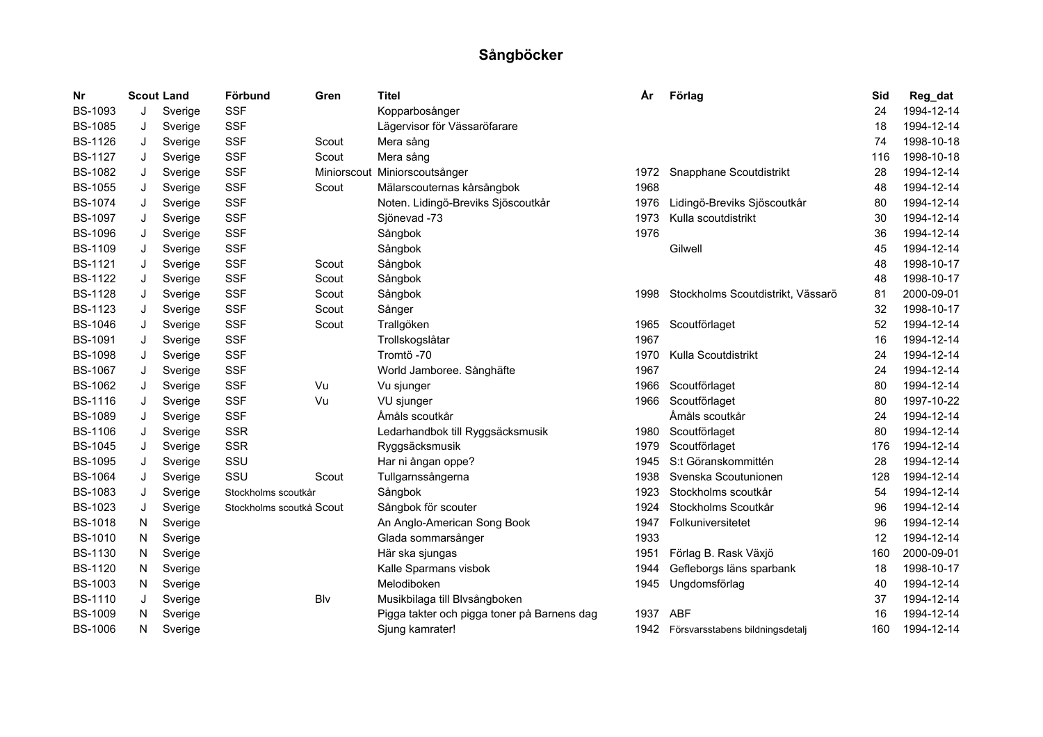| Nr             |    | <b>Scout Land</b> | Förbund                  | Gren  | <b>Titel</b>                                | År   | Förlag                            | Sid | Reg_dat    |
|----------------|----|-------------------|--------------------------|-------|---------------------------------------------|------|-----------------------------------|-----|------------|
| <b>BS-1093</b> | J  | Sverige           | <b>SSF</b>               |       | Kopparbosånger                              |      |                                   | 24  | 1994-12-14 |
| <b>BS-1085</b> | J  | Sverige           | <b>SSF</b>               |       | Lägervisor för Vässaröfarare                |      |                                   | 18  | 1994-12-14 |
| <b>BS-1126</b> | J  | Sverige           | <b>SSF</b>               | Scout | Mera sång                                   |      |                                   | 74  | 1998-10-18 |
| <b>BS-1127</b> | J  | Sverige           | <b>SSF</b>               | Scout | Mera sång                                   |      |                                   | 116 | 1998-10-18 |
| <b>BS-1082</b> | J  | Sverige           | <b>SSF</b>               |       | Miniorscout Miniorscoutsånger               | 1972 | Snapphane Scoutdistrikt           | 28  | 1994-12-14 |
| <b>BS-1055</b> | J  | Sverige           | <b>SSF</b>               | Scout | Mälarscouternas kårsångbok                  | 1968 |                                   | 48  | 1994-12-14 |
| <b>BS-1074</b> | J  | Sverige           | <b>SSF</b>               |       | Noten. Lidingö-Breviks Sjöscoutkår          | 1976 | Lidingö-Breviks Sjöscoutkår       | 80  | 1994-12-14 |
| <b>BS-1097</b> | J  | Sverige           | <b>SSF</b>               |       | Sjönevad -73                                | 1973 | Kulla scoutdistrikt               | 30  | 1994-12-14 |
| <b>BS-1096</b> | J  | Sverige           | <b>SSF</b>               |       | Sångbok                                     | 1976 |                                   | 36  | 1994-12-14 |
| <b>BS-1109</b> | J  | Sverige           | <b>SSF</b>               |       | Sångbok                                     |      | Gilwell                           | 45  | 1994-12-14 |
| <b>BS-1121</b> | J  | Sverige           | <b>SSF</b>               | Scout | Sångbok                                     |      |                                   | 48  | 1998-10-17 |
| <b>BS-1122</b> | J  | Sverige           | <b>SSF</b>               | Scout | Sångbok                                     |      |                                   | 48  | 1998-10-17 |
| <b>BS-1128</b> | J  | Sverige           | <b>SSF</b>               | Scout | Sångbok                                     | 1998 | Stockholms Scoutdistrikt, Vässarö | 81  | 2000-09-01 |
| <b>BS-1123</b> | J  | Sverige           | <b>SSF</b>               | Scout | Sånger                                      |      |                                   | 32  | 1998-10-17 |
| <b>BS-1046</b> | J  | Sverige           | <b>SSF</b>               | Scout | Trallgöken                                  | 1965 | Scoutförlaget                     | 52  | 1994-12-14 |
| <b>BS-1091</b> | J  | Sverige           | <b>SSF</b>               |       | Trollskogslåtar                             | 1967 |                                   | 16  | 1994-12-14 |
| <b>BS-1098</b> | J  | Sverige           | <b>SSF</b>               |       | Tromtö -70                                  | 1970 | Kulla Scoutdistrikt               | 24  | 1994-12-14 |
| <b>BS-1067</b> | J  | Sverige           | <b>SSF</b>               |       | World Jamboree. Sånghäfte                   | 1967 |                                   | 24  | 1994-12-14 |
| <b>BS-1062</b> | J  | Sverige           | <b>SSF</b>               | Vu    | Vu sjunger                                  | 1966 | Scoutförlaget                     | 80  | 1994-12-14 |
| <b>BS-1116</b> | J  | Sverige           | <b>SSF</b>               | Vu    | VU sjunger                                  | 1966 | Scoutförlaget                     | 80  | 1997-10-22 |
| <b>BS-1089</b> | J  | Sverige           | <b>SSF</b>               |       | Åmåls scoutkår                              |      | Åmåls scoutkår                    | 24  | 1994-12-14 |
| <b>BS-1106</b> | J  | Sverige           | <b>SSR</b>               |       | Ledarhandbok till Ryggsäcksmusik            | 1980 | Scoutförlaget                     | 80  | 1994-12-14 |
| <b>BS-1045</b> | J  | Sverige           | <b>SSR</b>               |       | Ryggsäcksmusik                              | 1979 | Scoutförlaget                     | 176 | 1994-12-14 |
| <b>BS-1095</b> | J  | Sverige           | SSU                      |       | Har ni ångan oppe?                          | 1945 | S:t Göranskommittén               | 28  | 1994-12-14 |
| <b>BS-1064</b> | J  | Sverige           | SSU                      | Scout | Tullgarnssångerna                           | 1938 | Svenska Scoutunionen              | 128 | 1994-12-14 |
| <b>BS-1083</b> | J  | Sverige           | Stockholms scoutkår      |       | Sångbok                                     | 1923 | Stockholms scoutkår               | 54  | 1994-12-14 |
| <b>BS-1023</b> | J  | Sverige           | Stockholms scoutkå Scout |       | Sångbok för scouter                         | 1924 | Stockholms Scoutkår               | 96  | 1994-12-14 |
| <b>BS-1018</b> | N  | Sverige           |                          |       | An Anglo-American Song Book                 | 1947 | Folkuniversitetet                 | 96  | 1994-12-14 |
| <b>BS-1010</b> | N  | Sverige           |                          |       | Glada sommarsånger                          | 1933 |                                   | 12  | 1994-12-14 |
| <b>BS-1130</b> | N  | Sverige           |                          |       | Här ska sjungas                             | 1951 | Förlag B. Rask Växjö              | 160 | 2000-09-01 |
| <b>BS-1120</b> | N. | Sverige           |                          |       | Kalle Sparmans visbok                       | 1944 | Gefleborgs läns sparbank          | 18  | 1998-10-17 |
| <b>BS-1003</b> | N  | Sverige           |                          |       | Melodiboken                                 | 1945 | Ungdomsförlag                     | 40  | 1994-12-14 |
| <b>BS-1110</b> | J  | Sverige           |                          | Blv   | Musikbilaga till Blvsångboken               |      |                                   | 37  | 1994-12-14 |
| <b>BS-1009</b> | N  | Sverige           |                          |       | Pigga takter och pigga toner på Barnens dag | 1937 | <b>ABF</b>                        | 16  | 1994-12-14 |
| <b>BS-1006</b> | N  | Sverige           |                          |       | Sjung kamrater!                             | 1942 | Försvarsstabens bildningsdetalj   | 160 | 1994-12-14 |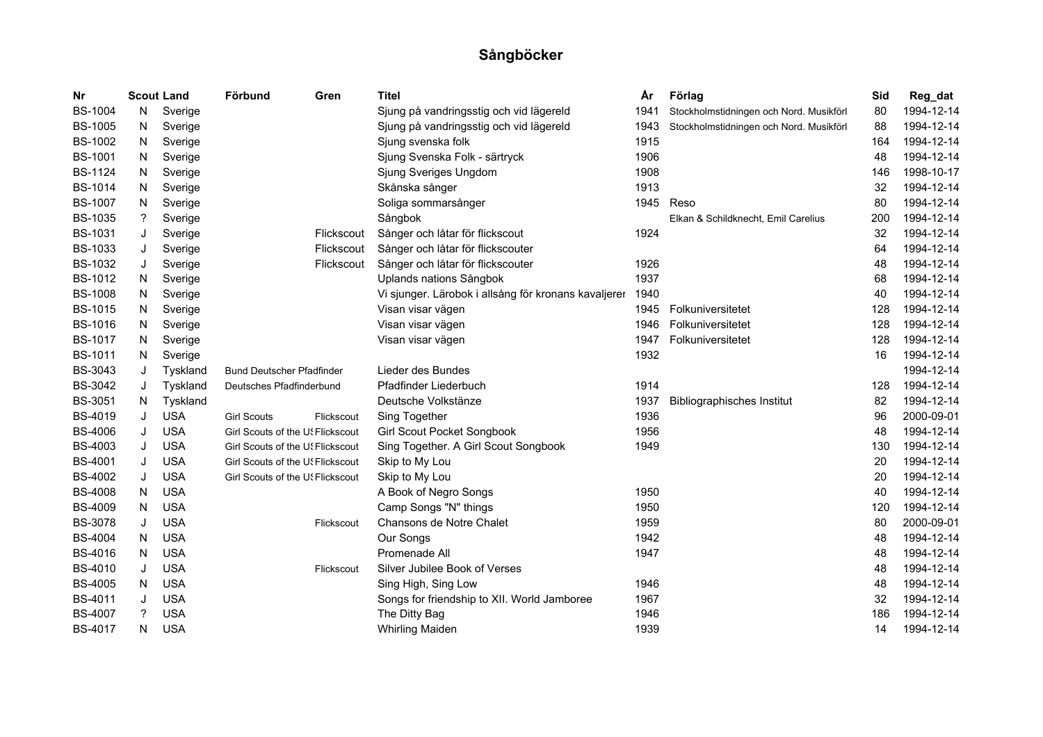| Nr             | <b>Scout Land</b> |            | Förbund                          | Gren       | <b>Titel</b>                                         | År   | Förlag                                  | Sid | Reg_dat    |
|----------------|-------------------|------------|----------------------------------|------------|------------------------------------------------------|------|-----------------------------------------|-----|------------|
| <b>BS-1004</b> | N                 | Sverige    |                                  |            | Sjung på vandringsstig och vid lägereld              | 1941 | Stockholmstidningen och Nord. Musikförl | 80  | 1994-12-14 |
| <b>BS-1005</b> | N                 | Sverige    |                                  |            | Sjung på vandringsstig och vid lägereld              | 1943 | Stockholmstidningen och Nord. Musikförl | 88  | 1994-12-14 |
| <b>BS-1002</b> | N.                | Sverige    |                                  |            | Sjung svenska folk                                   | 1915 |                                         | 164 | 1994-12-14 |
| <b>BS-1001</b> | N                 | Sverige    |                                  |            | Sjung Svenska Folk - särtryck                        | 1906 |                                         | 48  | 1994-12-14 |
| <b>BS-1124</b> | N                 | Sverige    |                                  |            | Sjung Sveriges Ungdom                                | 1908 |                                         | 146 | 1998-10-17 |
| <b>BS-1014</b> | N                 | Sverige    |                                  |            | Skånska sånger                                       | 1913 |                                         | 32  | 1994-12-14 |
| <b>BS-1007</b> | N                 | Sverige    |                                  |            | Soliga sommarsånger                                  | 1945 | Reso                                    | 80  | 1994-12-14 |
| <b>BS-1035</b> | ?                 | Sverige    |                                  |            | Sångbok                                              |      | Elkan & Schildknecht, Emil Carelius     | 200 | 1994-12-14 |
| <b>BS-1031</b> | J                 | Sverige    |                                  | Flickscout | Sånger och låtar för flickscout                      | 1924 |                                         | 32  | 1994-12-14 |
| <b>BS-1033</b> | J                 | Sverige    |                                  | Flickscout | Sånger och låtar för flickscouter                    |      |                                         | 64  | 1994-12-14 |
| <b>BS-1032</b> | J                 | Sverige    |                                  | Flickscout | Sånger och låtar för flickscouter                    | 1926 |                                         | 48  | 1994-12-14 |
| <b>BS-1012</b> | N                 | Sverige    |                                  |            | Uplands nations Sångbok                              | 1937 |                                         | 68  | 1994-12-14 |
| <b>BS-1008</b> | N                 | Sverige    |                                  |            | Vi sjunger. Lärobok i allsång för kronans kavaljerer | 1940 |                                         | 40  | 1994-12-14 |
| <b>BS-1015</b> | N                 | Sverige    |                                  |            | Visan visar vägen                                    | 1945 | Folkuniversitetet                       | 128 | 1994-12-14 |
| <b>BS-1016</b> | N                 | Sverige    |                                  |            | Visan visar vägen                                    | 1946 | Folkuniversitetet                       | 128 | 1994-12-14 |
| <b>BS-1017</b> | N                 | Sverige    |                                  |            | Visan visar vägen                                    | 1947 | Folkuniversitetet                       | 128 | 1994-12-14 |
| <b>BS-1011</b> | N                 | Sverige    |                                  |            |                                                      | 1932 |                                         | 16  | 1994-12-14 |
| <b>BS-3043</b> | J                 | Tyskland   | <b>Bund Deutscher Pfadfinder</b> |            | Lieder des Bundes                                    |      |                                         |     | 1994-12-14 |
| <b>BS-3042</b> | J                 | Tyskland   | Deutsches Pfadfinderbund         |            | Pfadfinder Liederbuch                                | 1914 |                                         | 128 | 1994-12-14 |
| <b>BS-3051</b> | N                 | Tyskland   |                                  |            | Deutsche Volkstänze                                  | 1937 | <b>Bibliographisches Institut</b>       | 82  | 1994-12-14 |
| BS-4019        | J                 | <b>USA</b> | <b>Girl Scouts</b>               | Flickscout | Sing Together                                        | 1936 |                                         | 96  | 2000-09-01 |
| <b>BS-4006</b> | J                 | <b>USA</b> | Girl Scouts of the U! Flickscout |            | Girl Scout Pocket Songbook                           | 1956 |                                         | 48  | 1994-12-14 |
| <b>BS-4003</b> | J                 | <b>USA</b> | Girl Scouts of the U! Flickscout |            | Sing Together. A Girl Scout Songbook                 | 1949 |                                         | 130 | 1994-12-14 |
| <b>BS-4001</b> | J                 | <b>USA</b> | Girl Scouts of the U! Flickscout |            | Skip to My Lou                                       |      |                                         | 20  | 1994-12-14 |
| <b>BS-4002</b> | J                 | <b>USA</b> | Girl Scouts of the U! Flickscout |            | Skip to My Lou                                       |      |                                         | 20  | 1994-12-14 |
| <b>BS-4008</b> | N                 | <b>USA</b> |                                  |            | A Book of Negro Songs                                | 1950 |                                         | 40  | 1994-12-14 |
| <b>BS-4009</b> | N                 | <b>USA</b> |                                  |            | Camp Songs "N" things                                | 1950 |                                         | 120 | 1994-12-14 |
| <b>BS-3078</b> | J                 | <b>USA</b> |                                  | Flickscout | Chansons de Notre Chalet                             | 1959 |                                         | 80  | 2000-09-01 |
| <b>BS-4004</b> | N.                | <b>USA</b> |                                  |            | Our Songs                                            | 1942 |                                         | 48  | 1994-12-14 |
| <b>BS-4016</b> | N.                | <b>USA</b> |                                  |            | Promenade All                                        | 1947 |                                         | 48  | 1994-12-14 |
| BS-4010        | J                 | <b>USA</b> |                                  | Flickscout | Silver Jubilee Book of Verses                        |      |                                         | 48  | 1994-12-14 |
| <b>BS-4005</b> | N                 | <b>USA</b> |                                  |            | Sing High, Sing Low                                  | 1946 |                                         | 48  | 1994-12-14 |
| BS-4011        | J                 | <b>USA</b> |                                  |            | Songs for friendship to XII. World Jamboree          | 1967 |                                         | 32  | 1994-12-14 |
| <b>BS-4007</b> | ?                 | <b>USA</b> |                                  |            | The Ditty Bag                                        | 1946 |                                         | 186 | 1994-12-14 |
| <b>BS-4017</b> | N                 | <b>USA</b> |                                  |            | <b>Whirling Maiden</b>                               | 1939 |                                         | 14  | 1994-12-14 |